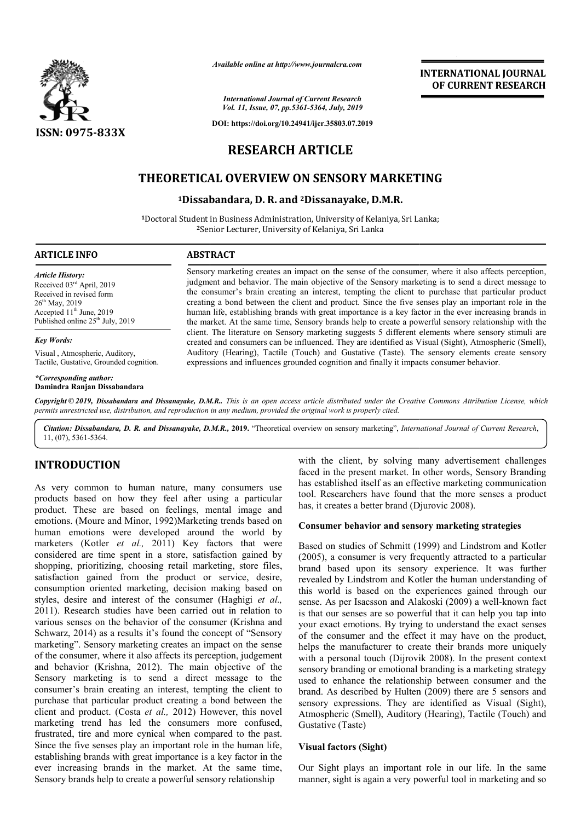

*Available online at http://www.journalcra.com*

# **INTERNATIONAL JOURNAL OF CURRENT RESEARCH**

*International Journal of Current Research Vol. 11, Issue, 07, pp.5361-5364, July, 2019*

**DOI: https://doi.org/10.24941/ijcr.35803.07.2019**

# **RESEARCH ARTICLE**

# **THEORETICAL OVERVIEW ON SENSORY MARKETING**

# **1Dissabandara Dissabandara, D. R. and 2Dissanayake, D.M.R.**

1Doctoral Student in Business Administration, University of Kelaniya, Sri Lanka; **<sup>2</sup>**Senior Lecturer, University of Kelaniya, Sri Lanka

#### **ARTICLE INFO ABSTRACT**

*Article History:* Received 03rd April, 2019 Received in revised form 26<sup>th</sup> May, 2019 Accepted  $11<sup>th</sup>$  June, 2019 Published online 25<sup>th</sup> July, 2019

#### *Key Words:*

Visual , Atmospheric, Auditory, Tactile, Gustative, Grounded cognition.

*\*Corresponding author:*  **Damindra Ranjan Dissabandara** Sensory marketing creates an impact on the sense of the consumer, where it also affects perception, judgment and behavior. The main objective of the Sensory marketing is to send a direct message to the consumer's brain creating an interest, tempting the client to purchase that particular product creating a bond between the client and product. Since the f five senses play an important role in the human life, establishing brands with great importance is a key factor in the ever increasing brands in the market. At the same time, Sensory brands help to create a powerful sensory relationship with the client. The literature on Sensory marketing suggests 5 different elements where sensory stimuli are created and consumers can be influenced. They are identified as Visual (Sight), Atmospheric (Smell), Auditory (Hearing), Tactile (Touch) and Gustative (Taste). The sen expressions and influences grounded cognition and finally it impacts consumer behavior. Sensory marketing creates an impact on the sense of the consumer, where it also affects perception, judgment and behavior. The main objective of the Sensory marketing is to send a direct message to the consumer's brain cre

Copyright © 2019, Dissabandara and Dissanayake, D.M.R.. This is an open access article distributed under the Creative Commons Attribution License, which permits unrestricted use, distribution, and reproduction in any medium, provided the original work is properly cited.

*Citation: Dissabandara, D. R. and Dissanayake, D.M.R. D.M.R.,* **2019.** "Theoretical overview on sensory marketing", *International Journal of Current Research of* , 11, (07), 5361-5364.

# **INTRODUCTION**

As very common to human nature, many consumers use products based on how they feel after using a particular product. These are based on feelings, mental image and emotions. (Moure and Minor, 1992)Marketing trends based on human emotions were developed around the world by marketers (Kotler *et al.,* 2011) Key factors that were considered are time spent in a store, satisfaction gained by shopping, prioritizing, choosing retail marketing, store files, satisfaction gained from the product or service, desire, consumption oriented marketing, decision making based on styles, desire and interest of the consumer (Haghigi *et al.,*  2011). Research studies have been carried out in relation to various senses on the behavior of the consumer (Krishna and Schwarz, 2014) as a results it's found the concept of "Sensory marketing". Sensory marketing creates an impact on the sense of the consumer, where it also affects its perception, judgement and behavior (Krishna, 2012). The main objective of the Sensory marketing is to send a direct message to the consumer's brain creating an interest, tempting the client to purchase that particular product creating a bond between the client and product. (Costa *et al.,* 2012) However, this novel marketing trend has led the consumers more confused, frustrated, tire and more cynical when compared to the past. Since the five senses play an important role in the human life, establishing brands with great importance is a key factor in the ever increasing brands in the market. At the same time, Sensory brands help to create a powerful sensory relationship r, where it also affects its perception, judgement (Krishna, 2012). The main objective of the eting is to send a direct message to the inin creating an interest, tempting the client to aarticular product creating a bond b with the client, by solving many advertisement challenges faced in the present market. In other words, Sensory Branding has established itself as an effective marketing communication tool. Researchers have found that the more senses a product has, it creates a better brand (Djurovic 2008). ith the client, by solving many advertisement challenges ced in the present market. In other words, Sensory Branding is established itself as an effective marketing communication ol. Researchers have found that the more se

# **Consumer behavior and sensory marketing strategies marketing strategies**

Based on studies of Schmitt (1999) and Lindstrom and Kotler (2005), a consumer is very frequently attracted to a particular brand based upon its sensory experience. It was further revealed by Lindstrom and Kotler the human understanding of this world is based on the experiences gained through our this world is based on the experiences gained through our sense. As per Isacsson and Alakoski (2009) a well-known fact is that our senses are so powerful that it can help you tap into is that our senses are so powerful that it can help you tap into your exact emotions. By trying to understand the exact senses of the consumer and the effect it may have on the product, of the consumer and the effect it may have on the product, helps the manufacturer to create their brands more uniquely with a personal touch (Dijrovik 2008). In the present context sensory branding or emotional branding is a marketing strategy used to enhance the relationship between consumer and the brand. As described by Hulten (2009) there are 5 sensors and sensory expressions. They are identified as Visual (Sight), Atmospheric (Smell), Auditory (Hearing), Tactile (Touch) and Gustative (Taste) hmitt (1999) and Lindstrom and Kotler<br>very frequently attracted to a particular<br>is sensory experience. It was further<br>and Kotler the human understanding of **ENTERNATTIONAL JOURNAL CONSUMMELY (CONSUMMELY)**<br> **CONSUMMELY (ASSES)**<br> **CONSUMMELY (ASSES)**<br> **CONSUMMELY (ASSES)**<br> **CONSUMMELY TRESEARCH**<br> **CONSUMMELY (FORM)**<br> **CONSUMMELY (FORM)**<br> **CONSUMMELY (FORM)**<br> **CONSUMMELY (FORM)** 

## **Visual factors (Sight)**

Our Sight plays an important role in our life. In the same manner, sight is again a very powerful tool in marketing and so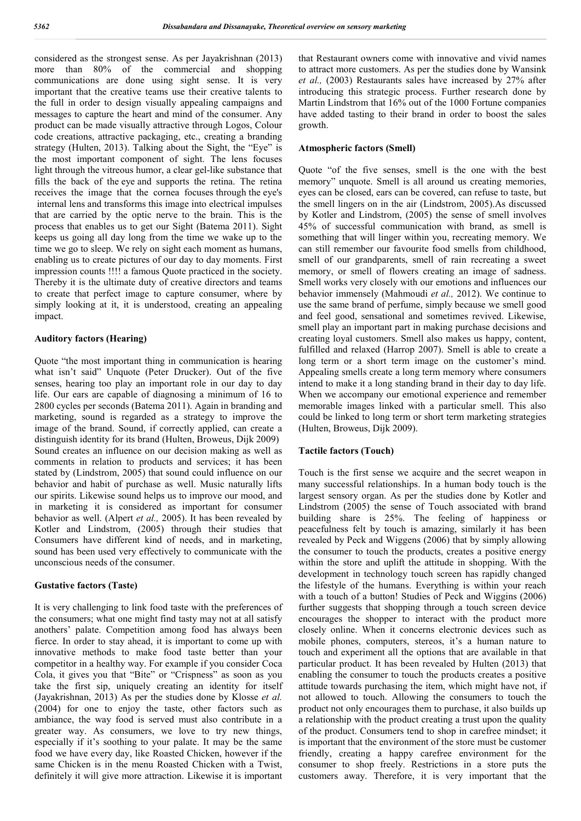considered as the strongest sense. As per Jayakrishnan (2013) more than 80% of the commercial and shopping communications are done using sight sense. It is very important that the creative teams use their creative talents to the full in order to design visually appealing campaigns and messages to capture the heart and mind of the consumer. Any product can be made visually attractive through Logos, Colour code creations, attractive packaging, etc., creating a branding strategy (Hulten, 2013). Talking about the Sight, the "Eye" is the most important component of sight. The lens focuses light through the vitreous humor, a clear gel-like substance that fills the back of the eye and supports the retina. The retina receives the image that the cornea focuses through the eye's internal lens and transforms this image into electrical impulses that are carried by the optic nerve to the brain. This is the process that enables us to get our Sight (Batema 2011). Sight keeps us going all day long from the time we wake up to the time we go to sleep. We rely on sight each moment as humans, enabling us to create pictures of our day to day moments. First impression counts !!!! a famous Quote practiced in the society. Thereby it is the ultimate duty of creative directors and teams to create that perfect image to capture consumer, where by simply looking at it, it is understood, creating an appealing impact.

# **Auditory factors (Hearing)**

Quote "the most important thing in communication is hearing what isn't said" Unquote (Peter Drucker). Out of the five senses, hearing too play an important role in our day to day life. Our ears are capable of diagnosing a minimum of 16 to 2800 cycles per seconds (Batema 2011). Again in branding and marketing, sound is regarded as a strategy to improve the image of the brand. Sound, if correctly applied, can create a distinguish identity for its brand (Hulten, Broweus, Dijk 2009) Sound creates an influence on our decision making as well as comments in relation to products and services; it has been stated by (Lindstrom, 2005) that sound could influence on our behavior and habit of purchase as well. Music naturally lifts our spirits. Likewise sound helps us to improve our mood, and in marketing it is considered as important for consumer behavior as well. (Alpert *et al.,* 2005). It has been revealed by Kotler and Lindstrom, (2005) through their studies that Consumers have different kind of needs, and in marketing, sound has been used very effectively to communicate with the unconscious needs of the consumer.

# **Gustative factors (Taste)**

It is very challenging to link food taste with the preferences of the consumers; what one might find tasty may not at all satisfy anothers' palate. Competition among food has always been fierce. In order to stay ahead, it is important to come up with innovative methods to make food taste better than your competitor in a healthy way. For example if you consider Coca Cola, it gives you that "Bite" or "Crispness" as soon as you take the first sip, uniquely creating an identity for itself (Jayakrishnan, 2013) As per the studies done by Klosse *et al.* (2004) for one to enjoy the taste, other factors such as ambiance, the way food is served must also contribute in a greater way. As consumers, we love to try new things, especially if it's soothing to your palate. It may be the same food we have every day, like Roasted Chicken, however if the same Chicken is in the menu Roasted Chicken with a Twist, definitely it will give more attraction. Likewise it is important

that Restaurant owners come with innovative and vivid names to attract more customers. As per the studies done by Wansink *et al.,* (2003) Restaurants sales have increased by 27% after introducing this strategic process. Further research done by Martin Lindstrom that 16% out of the 1000 Fortune companies have added tasting to their brand in order to boost the sales growth.

## **Atmospheric factors (Smell)**

Quote "of the five senses, smell is the one with the best memory" unquote. Smell is all around us creating memories, eyes can be closed, ears can be covered, can refuse to taste, but the smell lingers on in the air (Lindstrom, 2005).As discussed by Kotler and Lindstrom, (2005) the sense of smell involves 45% of successful communication with brand, as smell is something that will linger within you, recreating memory. We can still remember our favourite food smells from childhood, smell of our grandparents, smell of rain recreating a sweet memory, or smell of flowers creating an image of sadness. Smell works very closely with our emotions and influences our behavior immensely (Mahmoudi *et al.,* 2012). We continue to use the same brand of perfume, simply because we smell good and feel good, sensational and sometimes revived. Likewise, smell play an important part in making purchase decisions and creating loyal customers. Smell also makes us happy, content, fulfilled and relaxed (Harrop 2007). Smell is able to create a long term or a short term image on the customer's mind. Appealing smells create a long term memory where consumers intend to make it a long standing brand in their day to day life. When we accompany our emotional experience and remember memorable images linked with a particular smell. This also could be linked to long term or short term marketing strategies (Hulten, Broweus, Dijk 2009).

### **Tactile factors (Touch)**

Touch is the first sense we acquire and the secret weapon in many successful relationships. In a human body touch is the largest sensory organ. As per the studies done by Kotler and Lindstrom (2005) the sense of Touch associated with brand building share is 25%. The feeling of happiness or peacefulness felt by touch is amazing, similarly it has been revealed by Peck and Wiggens (2006) that by simply allowing the consumer to touch the products, creates a positive energy within the store and uplift the attitude in shopping. With the development in technology touch screen has rapidly changed the lifestyle of the humans. Everything is within your reach with a touch of a button! Studies of Peck and Wiggins (2006) further suggests that shopping through a touch screen device encourages the shopper to interact with the product more closely online. When it concerns electronic devices such as mobile phones, computers, stereos, it's a human nature to touch and experiment all the options that are available in that particular product. It has been revealed by Hulten (2013) that enabling the consumer to touch the products creates a positive attitude towards purchasing the item, which might have not, if not allowed to touch. Allowing the consumers to touch the product not only encourages them to purchase, it also builds up a relationship with the product creating a trust upon the quality of the product. Consumers tend to shop in carefree mindset; it is important that the environment of the store must be customer friendly, creating a happy carefree environment for the consumer to shop freely. Restrictions in a store puts the customers away. Therefore, it is very important that the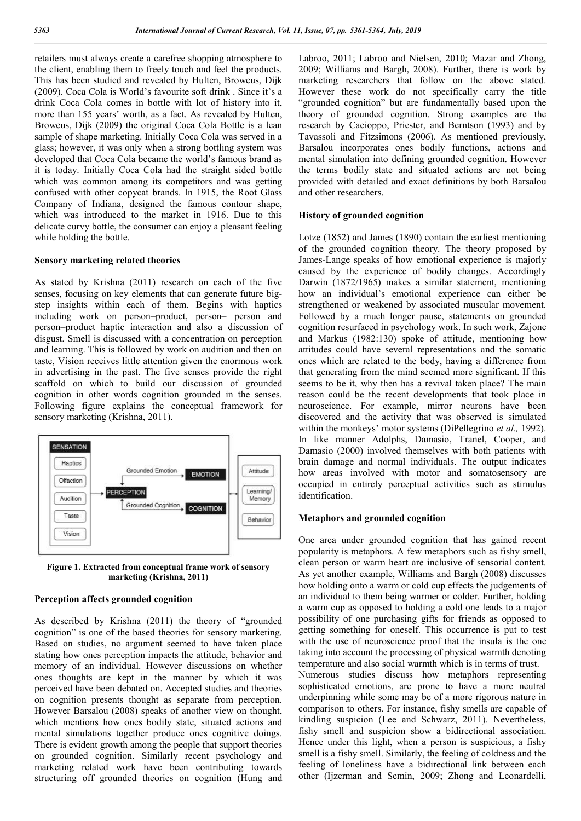retailers must always create a carefree shopping atmosphere to the client, enabling them to freely touch and feel the products. This has been studied and revealed by Hulten, Broweus, Dijk (2009). Coca Cola is World's favourite soft drink . Since it's a drink Coca Cola comes in bottle with lot of history into it, more than 155 years' worth, as a fact. As revealed by Hulten, Broweus, Dijk (2009) the original Coca Cola Bottle is a lean sample of shape marketing. Initially Coca Cola was served in a glass; however, it was only when a strong bottling system was developed that Coca Cola became the world's famous brand as it is today. Initially Coca Cola had the straight sided bottle which was common among its competitors and was getting confused with other copycat brands. In 1915, the Root Glass Company of Indiana, designed the famous contour shape, which was introduced to the market in 1916. Due to this delicate curvy bottle, the consumer can enjoy a pleasant feeling while holding the bottle.

## **Sensory marketing related theories**

As stated by Krishna (2011) research on each of the five senses, focusing on key elements that can generate future bigstep insights within each of them. Begins with haptics including work on person–product, person– person and person–product haptic interaction and also a discussion of disgust. Smell is discussed with a concentration on perception and learning. This is followed by work on audition and then on taste, Vision receives little attention given the enormous work in advertising in the past. The five senses provide the right scaffold on which to build our discussion of grounded cognition in other words cognition grounded in the senses. Following figure explains the conceptual framework for sensory marketing (Krishna, 2011).



**Figure 1. Extracted from conceptual frame work of sensory marketing (Krishna, 2011)**

#### **Perception affects grounded cognition**

As described by Krishna (2011) the theory of "grounded cognition" is one of the based theories for sensory marketing. Based on studies, no argument seemed to have taken place stating how ones perception impacts the attitude, behavior and memory of an individual. However discussions on whether ones thoughts are kept in the manner by which it was perceived have been debated on. Accepted studies and theories on cognition presents thought as separate from perception. However Barsalou (2008) speaks of another view on thought, which mentions how ones bodily state, situated actions and mental simulations together produce ones cognitive doings. There is evident growth among the people that support theories on grounded cognition. Similarly recent psychology and marketing related work have been contributing towards structuring off grounded theories on cognition (Hung and

Labroo, 2011; Labroo and Nielsen, 2010; Mazar and Zhong, 2009; Williams and Bargh, 2008). Further, there is work by marketing researchers that follow on the above stated. However these work do not specifically carry the title "grounded cognition" but are fundamentally based upon the theory of grounded cognition. Strong examples are the research by Cacioppo, Priester, and Berntson (1993) and by Tavassoli and Fitzsimons (2006). As mentioned previously, Barsalou incorporates ones bodily functions, actions and mental simulation into defining grounded cognition. However the terms bodily state and situated actions are not being provided with detailed and exact definitions by both Barsalou and other researchers.

#### **History of grounded cognition**

Lotze (1852) and James (1890) contain the earliest mentioning of the grounded cognition theory. The theory proposed by James-Lange speaks of how emotional experience is majorly caused by the experience of bodily changes. Accordingly Darwin (1872/1965) makes a similar statement, mentioning how an individual's emotional experience can either be strengthened or weakened by associated muscular movement. Followed by a much longer pause, statements on grounded cognition resurfaced in psychology work. In such work, Zajonc and Markus (1982:130) spoke of attitude, mentioning how attitudes could have several representations and the somatic ones which are related to the body, having a difference from that generating from the mind seemed more significant. If this seems to be it, why then has a revival taken place? The main reason could be the recent developments that took place in neuroscience. For example, mirror neurons have been discovered and the activity that was observed is simulated within the monkeys' motor systems (DiPellegrino *et al.,* 1992). In like manner Adolphs, Damasio, Tranel, Cooper, and Damasio (2000) involved themselves with both patients with brain damage and normal individuals. The output indicates how areas involved with motor and somatosensory are occupied in entirely perceptual activities such as stimulus identification.

### **Metaphors and grounded cognition**

One area under grounded cognition that has gained recent popularity is metaphors. A few metaphors such as fishy smell, clean person or warm heart are inclusive of sensorial content. As yet another example, Williams and Bargh (2008) discusses how holding onto a warm or cold cup effects the judgements of an individual to them being warmer or colder. Further, holding a warm cup as opposed to holding a cold one leads to a major possibility of one purchasing gifts for friends as opposed to getting something for oneself. This occurrence is put to test with the use of neuroscience proof that the insula is the one taking into account the processing of physical warmth denoting temperature and also social warmth which is in terms of trust.

Numerous studies discuss how metaphors representing sophisticated emotions, are prone to have a more neutral underpinning while some may be of a more rigorous nature in comparison to others. For instance, fishy smells are capable of kindling suspicion (Lee and Schwarz, 2011). Nevertheless, fishy smell and suspicion show a bidirectional association. Hence under this light, when a person is suspicious, a fishy smell is a fishy smell. Similarly, the feeling of coldness and the feeling of loneliness have a bidirectional link between each other (Ijzerman and Semin, 2009; Zhong and Leonardelli,